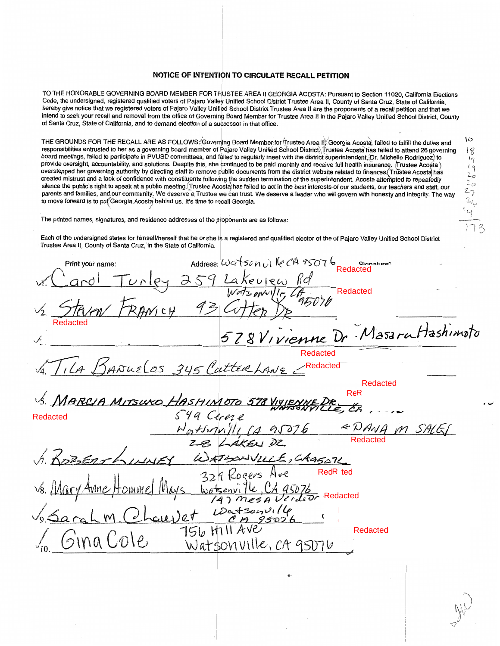## **NOTICE OF INTENTION TO CIRCULATE RECALL PETITION**

TO THE HONORABLE GOVERNING BOARD MEMBER FOR TRUSTEE AREA II GEORGIA ACOSTA: Pursuant to Section 11020, California Elections Code, the undersigned, registered qualified voters of Pajaro Valley Unified School District Trustee Area II, County of Santa Cruz, State of California, hereby give notice that we registered voters of Pajaro Valley Unified School District Trustee Area II are the proponents of a recall petition and that we intend to seek your recall and removal from the office of Governing Board Member for Trustee Area II in the Pajaro Valley Unified School District, County of Santa Cruz, State of California, and to demand election of a successor in that office.

THE GROUNDS FOR THE RECALL ARE AS FOLLOWS: Governing Board Member, for Trustee Area II. Georgia Acosta, failed to fulfill the duties and responsibilities entrusted to her as a governing board member of Pajaro Valley Unified School District\Trustee Acosta\has failed to attend 26 governing board meetings, failed to participate in PVUSD committees, and failed to regularly meet with the district superintendent, Dr. Michelle Rodriguez) to provide oversight, accountability, and solutions. Despite this, she continued to be paid monthly and receive full health insurance. Trustee Acosta) overstepped her governing authority by directing staff to remove public documents from the district website related to finances. Trustee Acosta has created mistrust and a lack of confidence with constituents following the sudden termination of the superintendent. Acosta attempted to repeatedly silence the public's right to speak at a public meeting. Trustee Acosta; has failed to act in the best interests of our students, our teachers and staff, our parents and families, and our community. We deserve a Trustee we can trust. We deserve a leader who will govern with honesty and integrity. The way to move forward is to put Georgia Acosta behind us. It's time to recall Georgia.

2-7  $2\epsilon$ kf

lΘ  $18$ Iq ŧq  $2\sigma$ 20

The printed names, signatures, and residence addresses of the proponents are as follows:

Each of the undersigned states for himself/herself that he or she is a registered and qualified elector of the of Pajaro Valley Unified School District · Trustee Area II, County of Santa Cruz, 'in the State of California.

Print your name: Redacted Lakeview Rd Redacted  $\frac{1}{2}$  TRUM FRANCH 95 CUTION Redacted <sup>J</sup>**5** *7* **g V1** ~ **DI'** *\_}/farJr,:;.\_\_i-1-ash~~k'b~*  Redacted *,n;i,4- l'/Nudo..s* 5 *~M,,;£*  Redacted Redacted $ReR$ vs. MARCIA MITSUKO HASHIMOTO 578 VIV  $\overline{\mathscr{X}}$ z  $\mathcal{L}_{\mathcal{L}}$ Redacted  $\frac{F_{01}F_{11}\sqrt{||}||}{2}$   $\frac{F_{01}F_{11}\sqrt{||}||}{2}$   $\frac{28}{\sqrt{26}}$   $\frac{28}{\sqrt{26}}$   $\frac{28}{\sqrt{26}}$   $\frac{28}{\sqrt{26}}$   $\frac{28}{\sqrt{26}}$   $\frac{28}{\sqrt{26}}$   $\frac{28}{\sqrt{26}}$   $\frac{28}{\sqrt{26}}$   $\frac{28}{\sqrt{26}}$   $\frac{28}{\sqrt{26}}$   $\frac{28}{\sqrt{26}}$ Redacted RedR ted l. Redacted e Watsonville, CA 95076  $\overline{a}$